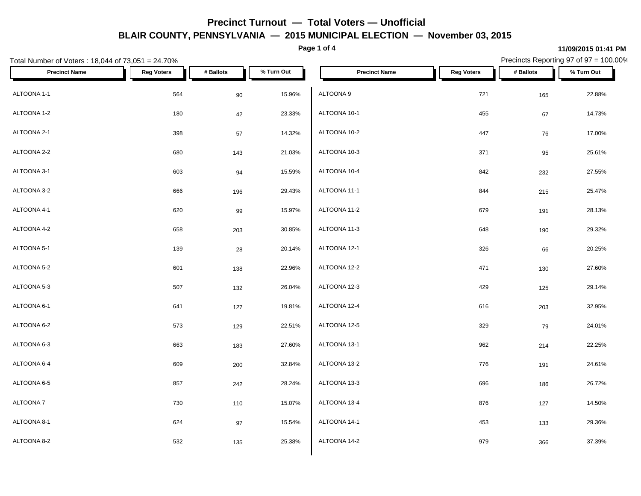**Page 1 of 4**

**11/09/2015 01:41 PM**

| Total Number of Voters: 18,044 of 73,051 = 24.70% |                   |           |            |                      |                   | Precincts Reporting 97 of 97 = 100.00% |            |
|---------------------------------------------------|-------------------|-----------|------------|----------------------|-------------------|----------------------------------------|------------|
| <b>Precinct Name</b>                              | <b>Reg Voters</b> | # Ballots | % Turn Out | <b>Precinct Name</b> | <b>Reg Voters</b> | # Ballots                              | % Turn Out |
| ALTOONA 1-1                                       | 564               | 90        | 15.96%     | ALTOONA 9            | 721               | 165                                    | 22.88%     |
| ALTOONA 1-2                                       | 180               | 42        | 23.33%     | ALTOONA 10-1         | 455               | 67                                     | 14.73%     |
| ALTOONA 2-1                                       | 398               | 57        | 14.32%     | ALTOONA 10-2         | 447               | 76                                     | 17.00%     |
| ALTOONA 2-2                                       | 680               | 143       | 21.03%     | ALTOONA 10-3         | 371               | 95                                     | 25.61%     |
| ALTOONA 3-1                                       | 603               | 94        | 15.59%     | ALTOONA 10-4         | 842               | 232                                    | 27.55%     |
| ALTOONA 3-2                                       | 666               | 196       | 29.43%     | ALTOONA 11-1         | 844               | 215                                    | 25.47%     |
| ALTOONA 4-1                                       | 620               | 99        | 15.97%     | ALTOONA 11-2         | 679               | 191                                    | 28.13%     |
| ALTOONA 4-2                                       | 658               | 203       | 30.85%     | ALTOONA 11-3         | 648               | 190                                    | 29.32%     |
| ALTOONA 5-1                                       | 139               | 28        | 20.14%     | ALTOONA 12-1         | 326               | 66                                     | 20.25%     |
| ALTOONA 5-2                                       | 601               | 138       | 22.96%     | ALTOONA 12-2         | 471               | 130                                    | 27.60%     |
| ALTOONA 5-3                                       | 507               | 132       | 26.04%     | ALTOONA 12-3         | 429               | 125                                    | 29.14%     |
| ALTOONA 6-1                                       | 641               | 127       | 19.81%     | ALTOONA 12-4         | 616               | 203                                    | 32.95%     |
| ALTOONA 6-2                                       | 573               | 129       | 22.51%     | ALTOONA 12-5         | 329               | 79                                     | 24.01%     |
| ALTOONA 6-3                                       | 663               | 183       | 27.60%     | ALTOONA 13-1         | 962               | 214                                    | 22.25%     |
| ALTOONA 6-4                                       | 609               | 200       | 32.84%     | ALTOONA 13-2         | 776               | 191                                    | 24.61%     |
| ALTOONA 6-5                                       | 857               | 242       | 28.24%     | ALTOONA 13-3         | 696               | 186                                    | 26.72%     |
| ALTOONA 7                                         | 730               | 110       | 15.07%     | ALTOONA 13-4         | 876               | 127                                    | 14.50%     |
| ALTOONA 8-1                                       | 624               | 97        | 15.54%     | ALTOONA 14-1         | 453               | 133                                    | 29.36%     |
| ALTOONA 8-2                                       | 532               | 135       | 25.38%     | ALTOONA 14-2         | 979               | 366                                    | 37.39%     |
|                                                   |                   |           |            |                      |                   |                                        |            |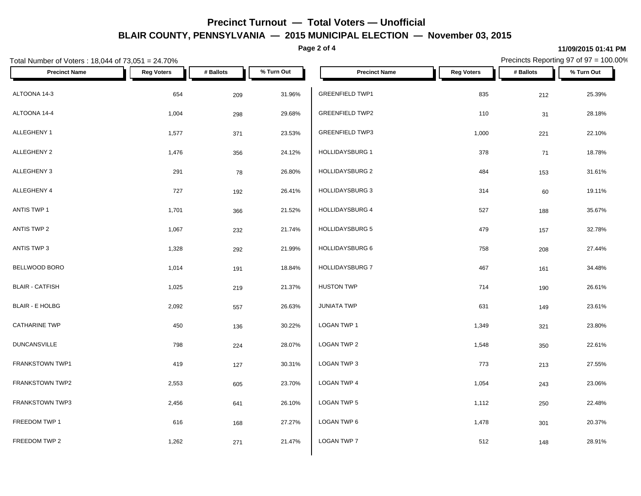**Page 2 of 4**

**11/09/2015 01:41 PM** Precincts Reporting 97 of 97 = 100.00%

| Total Number of Voters: 18,044 of 73,051 = 24.70% |                   |           |            | Precincts Reporting 97 of 97 = 100.00% |                   |           |            |
|---------------------------------------------------|-------------------|-----------|------------|----------------------------------------|-------------------|-----------|------------|
| <b>Precinct Name</b>                              | <b>Reg Voters</b> | # Ballots | % Turn Out | <b>Precinct Name</b>                   | <b>Reg Voters</b> | # Ballots | % Turn Out |
| ALTOONA 14-3                                      | 654               | 209       | 31.96%     | <b>GREENFIELD TWP1</b>                 | 835               | 212       | 25.39%     |
| ALTOONA 14-4                                      | 1,004             | 298       | 29.68%     | <b>GREENFIELD TWP2</b>                 | 110               | 31        | 28.18%     |
| ALLEGHENY 1                                       | 1,577             | 371       | 23.53%     | <b>GREENFIELD TWP3</b>                 | 1,000             | 221       | 22.10%     |
| ALLEGHENY 2                                       | 1,476             | 356       | 24.12%     | HOLLIDAYSBURG 1                        | 378               | 71        | 18.78%     |
| ALLEGHENY 3                                       | 291               | 78        | 26.80%     | <b>HOLLIDAYSBURG 2</b>                 | 484               | 153       | 31.61%     |
| ALLEGHENY 4                                       | 727               | 192       | 26.41%     | HOLLIDAYSBURG 3                        | 314               | 60        | 19.11%     |
| ANTIS TWP 1                                       | 1,701             | 366       | 21.52%     | HOLLIDAYSBURG 4                        | 527               | 188       | 35.67%     |
| ANTIS TWP 2                                       | 1,067             | 232       | 21.74%     | HOLLIDAYSBURG 5                        | 479               | 157       | 32.78%     |
| ANTIS TWP 3                                       | 1,328             | 292       | 21.99%     | HOLLIDAYSBURG 6                        | 758               | 208       | 27.44%     |
| BELLWOOD BORO                                     | 1,014             | 191       | 18.84%     | HOLLIDAYSBURG 7                        | 467               | 161       | 34.48%     |
| <b>BLAIR - CATFISH</b>                            | 1,025             | 219       | 21.37%     | <b>HUSTON TWP</b>                      | 714               | 190       | 26.61%     |
| <b>BLAIR - E HOLBG</b>                            | 2,092             | 557       | 26.63%     | <b>JUNIATA TWP</b>                     | 631               | 149       | 23.61%     |
| <b>CATHARINE TWP</b>                              | 450               | 136       | 30.22%     | LOGAN TWP 1                            | 1,349             | 321       | 23.80%     |
| <b>DUNCANSVILLE</b>                               | 798               | 224       | 28.07%     | LOGAN TWP 2                            | 1,548             | 350       | 22.61%     |
| FRANKSTOWN TWP1                                   | 419               | 127       | 30.31%     | LOGAN TWP 3                            | 773               | 213       | 27.55%     |
| FRANKSTOWN TWP2                                   | 2,553             | 605       | 23.70%     | LOGAN TWP 4                            | 1,054             | 243       | 23.06%     |
| FRANKSTOWN TWP3                                   | 2,456             | 641       | 26.10%     | LOGAN TWP 5                            | 1,112             | 250       | 22.48%     |
| FREEDOM TWP 1                                     | 616               | 168       | 27.27%     | LOGAN TWP 6                            | 1,478             | 301       | 20.37%     |
| FREEDOM TWP 2                                     | 1,262             | 271       | 21.47%     | LOGAN TWP 7                            | 512               | 148       | 28.91%     |
|                                                   |                   |           |            |                                        |                   |           |            |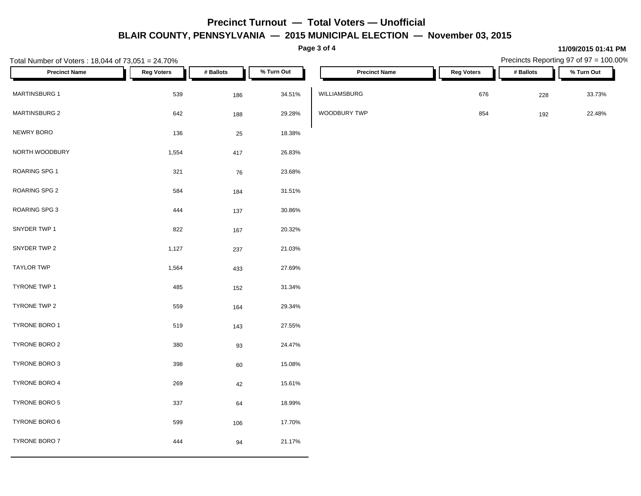**Page 3 of 4**

**11/09/2015 01:41 PM**

|                      | <b>Reg Voters</b> |           |            |                      |                   |           |            |
|----------------------|-------------------|-----------|------------|----------------------|-------------------|-----------|------------|
| <b>Precinct Name</b> |                   | # Ballots | % Turn Out | <b>Precinct Name</b> | <b>Reg Voters</b> | # Ballots | % Turn Out |
| MARTINSBURG 1        | 539               | 186       | 34.51%     | WILLIAMSBURG         | 676               | 228       | 33.73%     |
| <b>MARTINSBURG 2</b> | 642               | 188       | 29.28%     | WOODBURY TWP         | 854               | 192       | 22.48%     |
| NEWRY BORO           | 136               | 25        | 18.38%     |                      |                   |           |            |
| NORTH WOODBURY       | 1,554             | 417       | 26.83%     |                      |                   |           |            |
| ROARING SPG 1        | 321               | 76        | 23.68%     |                      |                   |           |            |
| ROARING SPG 2        | 584               | 184       | 31.51%     |                      |                   |           |            |
| ROARING SPG 3        | 444               | 137       | 30.86%     |                      |                   |           |            |
| SNYDER TWP 1         | 822               | 167       | 20.32%     |                      |                   |           |            |
| SNYDER TWP 2         | 1,127             | 237       | 21.03%     |                      |                   |           |            |
| <b>TAYLOR TWP</b>    | 1,564             | 433       | 27.69%     |                      |                   |           |            |
| TYRONE TWP 1         | 485               | 152       | 31.34%     |                      |                   |           |            |
| TYRONE TWP 2         | 559               | 164       | 29.34%     |                      |                   |           |            |
| TYRONE BORO 1        | 519               | 143       | 27.55%     |                      |                   |           |            |
| TYRONE BORO 2        | 380               | $93\,$    | 24.47%     |                      |                   |           |            |
| TYRONE BORO 3        | 398               | $60\,$    | 15.08%     |                      |                   |           |            |
| TYRONE BORO 4        | 269               | $42\,$    | 15.61%     |                      |                   |           |            |
| TYRONE BORO 5        | 337               | 64        | 18.99%     |                      |                   |           |            |
| TYRONE BORO 6        | 599               | 106       | 17.70%     |                      |                   |           |            |
| TYRONE BORO 7        | 444               | 94        | 21.17%     |                      |                   |           |            |